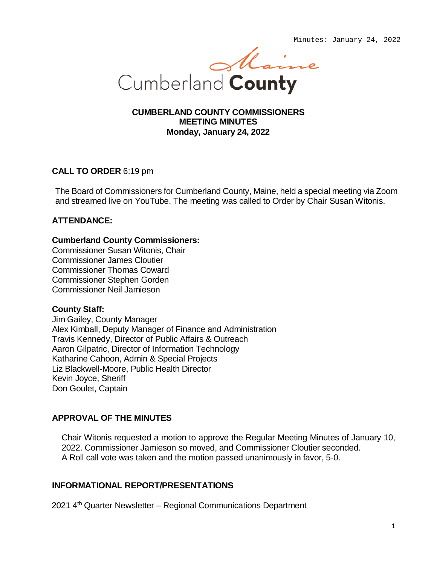

# **CUMBERLAND COUNTY COMMISSIONERS MEETING MINUTES Monday, January 24, 2022**

# **CALL TO ORDER** 6:19 pm

The Board of Commissioners for Cumberland County, Maine, held a special meeting via Zoom and streamed live on YouTube. The meeting was called to Order by Chair Susan Witonis.

# **ATTENDANCE:**

### **Cumberland County Commissioners:**

Commissioner Susan Witonis, Chair Commissioner James Cloutier Commissioner Thomas Coward Commissioner Stephen Gorden Commissioner Neil Jamieson

# **County Staff:**

Jim Gailey, County Manager Alex Kimball, Deputy Manager of Finance and Administration Travis Kennedy, Director of Public Affairs & Outreach Aaron Gilpatric, Director of Information Technology Katharine Cahoon, Admin & Special Projects Liz Blackwell-Moore, Public Health Director Kevin Joyce, Sheriff Don Goulet, Captain

# **APPROVAL OF THE MINUTES**

Chair Witonis requested a motion to approve the Regular Meeting Minutes of January 10, 2022. Commissioner Jamieson so moved, and Commissioner Cloutier seconded. A Roll call vote was taken and the motion passed unanimously in favor, 5-0.

# **INFORMATIONAL REPORT/PRESENTATIONS**

2021 4th Quarter Newsletter – Regional Communications Department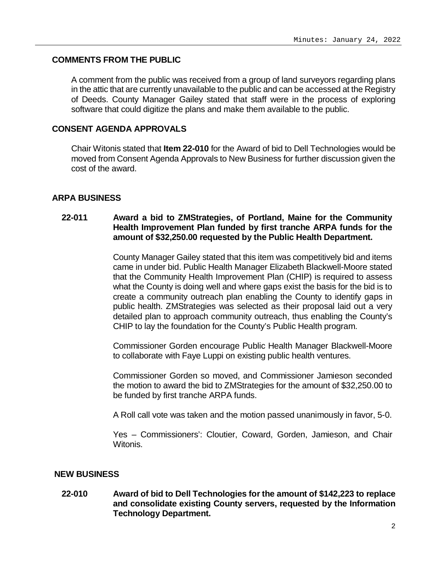### **COMMENTS FROM THE PUBLIC**

A comment from the public was received from a group of land surveyors regarding plans in the attic that are currently unavailable to the public and can be accessed at the Registry of Deeds. County Manager Gailey stated that staff were in the process of exploring software that could digitize the plans and make them available to the public.

# **CONSENT AGENDA APPROVALS**

Chair Witonis stated that **Item 22-010** for the Award of bid to Dell Technologies would be moved from Consent Agenda Approvals to New Business for further discussion given the cost of the award.

### **ARPA BUSINESS**

# **22-011 Award a bid to ZMStrategies, of Portland, Maine for the Community Health Improvement Plan funded by first tranche ARPA funds for the amount of \$32,250.00 requested by the Public Health Department.**

County Manager Gailey stated that this item was competitively bid and items came in under bid. Public Health Manager Elizabeth Blackwell-Moore stated that the Community Health Improvement Plan (CHIP) is required to assess what the County is doing well and where gaps exist the basis for the bid is to create a community outreach plan enabling the County to identify gaps in public health. ZMStrategies was selected as their proposal laid out a very detailed plan to approach community outreach, thus enabling the County's CHIP to lay the foundation for the County's Public Health program.

Commissioner Gorden encourage Public Health Manager Blackwell-Moore to collaborate with Faye Luppi on existing public health ventures.

Commissioner Gorden so moved, and Commissioner Jamieson seconded the motion to award the bid to ZMStrategies for the amount of \$32,250.00 to be funded by first tranche ARPA funds.

A Roll call vote was taken and the motion passed unanimously in favor, 5-0.

Yes – Commissioners': Cloutier, Coward, Gorden, Jamieson, and Chair Witonis.

#### **NEW BUSINESS**

**22-010 Award of bid to Dell Technologies for the amount of \$142,223 to replace and consolidate existing County servers, requested by the Information Technology Department.**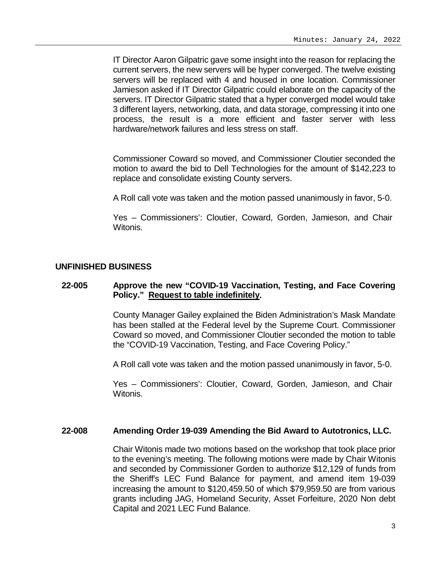IT Director Aaron Gilpatric gave some insight into the reason for replacing the current servers, the new servers will be hyper converged. The twelve existing servers will be replaced with 4 and housed in one location. Commissioner Jamieson asked if IT Director Gilpatric could elaborate on the capacity of the servers. IT Director Gilpatric stated that a hyper converged model would take 3 different layers, networking, data, and data storage, compressing it into one process, the result is a more efficient and faster server with less hardware/network failures and less stress on staff.

Commissioner Coward so moved, and Commissioner Cloutier seconded the motion to award the bid to Dell Technologies for the amount of \$142,223 to replace and consolidate existing County servers.

A Roll call vote was taken and the motion passed unanimously in favor, 5-0.

Yes – Commissioners': Cloutier, Coward, Gorden, Jamieson, and Chair Witonis.

#### **UNFINISHED BUSINESS**

#### **22-005 Approve the new "COVID-19 Vaccination, Testing, and Face Covering Policy." Request to table indefinitely.**

County Manager Gailey explained the Biden Administration's Mask Mandate has been stalled at the Federal level by the Supreme Court. Commissioner Coward so moved, and Commissioner Cloutier seconded the motion to table the "COVID-19 Vaccination, Testing, and Face Covering Policy."

A Roll call vote was taken and the motion passed unanimously in favor, 5-0.

Yes – Commissioners': Cloutier, Coward, Gorden, Jamieson, and Chair Witonis.

#### **22-008 Amending Order 19-039 Amending the Bid Award to Autotronics, LLC.**

Chair Witonis made two motions based on the workshop that took place prior to the evening's meeting. The following motions were made by Chair Witonis and seconded by Commissioner Gorden to authorize \$12,129 of funds from the Sheriff's LEC Fund Balance for payment, and amend item 19-039 increasing the amount to \$120,459.50 of which \$79,959.50 are from various grants including JAG, Homeland Security, Asset Forfeiture, 2020 Non debt Capital and 2021 LEC Fund Balance.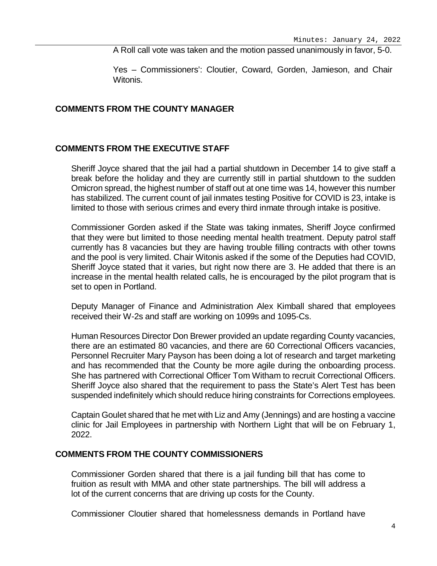A Roll call vote was taken and the motion passed unanimously in favor, 5-0.

Yes – Commissioners': Cloutier, Coward, Gorden, Jamieson, and Chair Witonis.

# **COMMENTS FROM THE COUNTY MANAGER**

### **COMMENTS FROM THE EXECUTIVE STAFF**

Sheriff Joyce shared that the jail had a partial shutdown in December 14 to give staff a break before the holiday and they are currently still in partial shutdown to the sudden Omicron spread, the highest number of staff out at one time was 14, however this number has stabilized. The current count of jail inmates testing Positive for COVID is 23, intake is limited to those with serious crimes and every third inmate through intake is positive.

Commissioner Gorden asked if the State was taking inmates, Sheriff Joyce confirmed that they were but limited to those needing mental health treatment. Deputy patrol staff currently has 8 vacancies but they are having trouble filling contracts with other towns and the pool is very limited. Chair Witonis asked if the some of the Deputies had COVID, Sheriff Joyce stated that it varies, but right now there are 3. He added that there is an increase in the mental health related calls, he is encouraged by the pilot program that is set to open in Portland.

Deputy Manager of Finance and Administration Alex Kimball shared that employees received their W-2s and staff are working on 1099s and 1095-Cs.

Human Resources Director Don Brewer provided an update regarding County vacancies, there are an estimated 80 vacancies, and there are 60 Correctional Officers vacancies, Personnel Recruiter Mary Payson has been doing a lot of research and target marketing and has recommended that the County be more agile during the onboarding process. She has partnered with Correctional Officer Tom Witham to recruit Correctional Officers. Sheriff Joyce also shared that the requirement to pass the State's Alert Test has been suspended indefinitely which should reduce hiring constraints for Corrections employees.

Captain Goulet shared that he met with Liz and Amy (Jennings) and are hosting a vaccine clinic for Jail Employees in partnership with Northern Light that will be on February 1, 2022.

#### **COMMENTS FROM THE COUNTY COMMISSIONERS**

Commissioner Gorden shared that there is a jail funding bill that has come to fruition as result with MMA and other state partnerships. The bill will address a lot of the current concerns that are driving up costs for the County.

Commissioner Cloutier shared that homelessness demands in Portland have